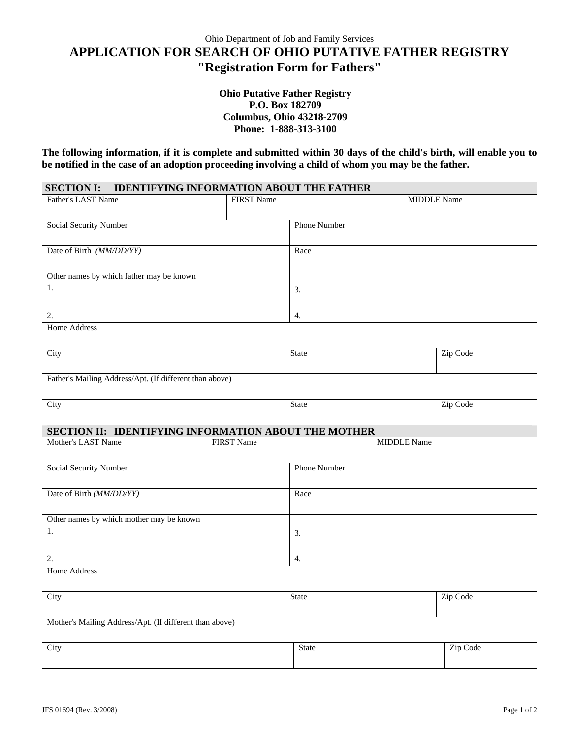## **APPLICATION FOR SEARCH OF OHIO PUTATIVE FATHER REGISTRY "Registration Form for Fathers"**

## **Ohio Putative Father Registry P.O. Box 182709 Columbus, Ohio 43218-2709 Phone: 1-888-313-3100**

**The following information, if it is complete and submitted within 30 days of the child's birth, will enable you to be notified in the case of an adoption proceeding involving a child of whom you may be the father.** 

| <b>IDENTIFYING INFORMATION ABOUT THE FATHER</b><br><b>SECTION I:</b> |                   |                     |                    |                    |  |  |  |
|----------------------------------------------------------------------|-------------------|---------------------|--------------------|--------------------|--|--|--|
| <b>Father's LAST Name</b>                                            | <b>FIRST Name</b> |                     |                    | <b>MIDDLE</b> Name |  |  |  |
| Social Security Number                                               |                   | <b>Phone Number</b> |                    |                    |  |  |  |
| Date of Birth (MM/DD/YY)                                             |                   | Race                |                    |                    |  |  |  |
| Other names by which father may be known                             |                   |                     |                    |                    |  |  |  |
| 1.                                                                   |                   | 3.                  |                    |                    |  |  |  |
| 2.                                                                   |                   | 4.                  |                    |                    |  |  |  |
| <b>Home Address</b>                                                  |                   |                     |                    |                    |  |  |  |
| City                                                                 |                   | <b>State</b>        |                    | Zip Code           |  |  |  |
| Father's Mailing Address/Apt. (If different than above)              |                   |                     |                    |                    |  |  |  |
| <b>City</b>                                                          |                   | State               |                    | Zip Code           |  |  |  |
| SECTION II: IDENTIFYING INFORMATION ABOUT THE MOTHER                 |                   |                     |                    |                    |  |  |  |
| Mother's LAST Name                                                   | <b>FIRST Name</b> |                     | <b>MIDDLE</b> Name |                    |  |  |  |
| Social Security Number                                               |                   | <b>Phone Number</b> |                    |                    |  |  |  |
| Date of Birth (MM/DD/YY)                                             |                   | Race                |                    |                    |  |  |  |
| Other names by which mother may be known                             |                   |                     |                    |                    |  |  |  |
| 1.                                                                   |                   | 3.                  |                    |                    |  |  |  |
| 2.                                                                   |                   | 4.                  |                    |                    |  |  |  |
| <b>Home Address</b>                                                  |                   |                     |                    |                    |  |  |  |
| City                                                                 |                   | State               |                    | Zip Code           |  |  |  |
| Mother's Mailing Address/Apt. (If different than above)              |                   |                     |                    |                    |  |  |  |
| City                                                                 |                   | <b>State</b>        |                    | Zip Code           |  |  |  |